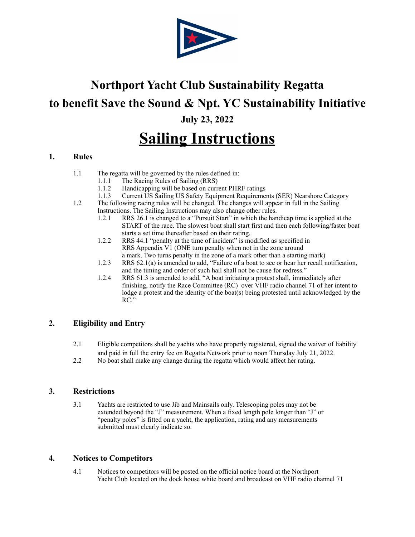

# **Northport Yacht Club Sustainability Regatta to benefit Save the Sound & Npt. YC Sustainability Initiative July 23, 2022**

# **Sailing Instructions**

# **1. Rules**

- 1.1 The regatta will be governed by the rules defined in:
	- 1.1.1 The Racing Rules of Sailing (RRS)
		- 1.1.2 Handicapping will be based on current PHRF ratings
	- 1.1.3 Current US Sailing US Safety Equipment Requirements (SER) Nearshore Category
- 1.2 The following racing rules will be changed. The changes will appear in full in the Sailing Instructions. The Sailing Instructions may also change other rules.
	- 1.2.1 RRS 26.1 is changed to a "Pursuit Start" in which the handicap time is applied at the START of the race. The slowest boat shall start first and then each following/faster boat starts a set time thereafter based on their rating.
	- 1.2.2 RRS 44.1 "penalty at the time of incident" is modified as specified in RRS Appendix V1 (ONE turn penalty when not in the zone around a mark. Two turns penalty in the zone of a mark other than a starting mark)
	- 1.2.3 RRS 62.1(a) is amended to add, "Failure of a boat to see or hear her recall notification, and the timing and order of such hail shall not be cause for redress."
	- 1.2.4 RRS 61.3 is amended to add, "A boat initiating a protest shall, immediately after finishing, notify the Race Committee (RC) over VHF radio channel 71 of her intent to lodge a protest and the identity of the boat(s) being protested until acknowledged by the RC."

# **2. Eligibility and Entry**

- 2.1 Eligible competitors shall be yachts who have properly registered, signed the waiver of liability and paid in full the entry fee on Regatta Network prior to noon Thursday July 21, 2022.
- 2.2 No boat shall make any change during the regatta which would affect her rating.

# **3. Restrictions**

3.1 Yachts are restricted to use Jib and Mainsails only. Telescoping poles may not be extended beyond the "J" measurement. When a fixed length pole longer than "J" or "penalty poles" is fitted on a yacht, the application, rating and any measurements submitted must clearly indicate so.

# **4. Notices to Competitors**

4.1 Notices to competitors will be posted on the official notice board at the Northport Yacht Club located on the dock house white board and broadcast on VHF radio channel 71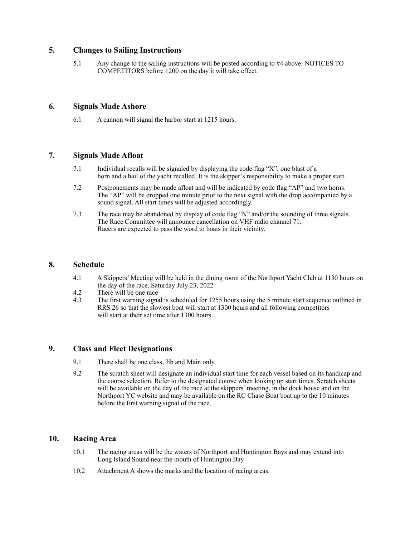# **5. Changes to Sailing Instructions**

5.1 Any change to the sailing instructions will be posted according to #4 above: NOTICES TO COMPETITORS before 1200 on the day it will take effect.

# **6. Signals Made Ashore**

6.1 A cannon will signal the harbor start at 1215 hours.

# **7. Signals Made Afloat**

- 7.1 Individual recalls will be signaled by displaying the code flag "X", one blast of a horn and a hail of the yacht recalled. It is the skipper's responsibility to make a proper start.
- 7.2 Postponements may be made afloat and will be indicated by code flag "AP" and two horns. The "AP" will be dropped one minute prior to the next signal with the drop accompanied by a sound signal. All start times will be adjusted accordingly.
- 7.3 The race may be abandoned by display of code flag "N" and/or the sounding of three signals. The Race Committee will announce cancellation on VHF radio channel 71. Racers are expected to pass the word to boats in their vicinity.

#### **8. Schedule**

- 4.1 A Skippers' Meeting will be held in the dining room of the Northport Yacht Club at 1130 hours on the day of the race, Saturday July 23, 2022
- 4.2 There will be one race
- 4.3 The first warning signal is scheduled for 1255 hours using the 5 minute start sequence outlined in RRS 26 so that the slowest boat will start at 1300 hours and all following competitors will start at their set time after 1300 hours.

#### **9. Class and Fleet Designations**

- 9.1 There shall be one class, Jib and Main only.
- 9.2 The scratch sheet will designate an individual start time for each vessel based on its handicap and the course selection. Refer to the designated course when looking up start times. Scratch sheets will be available on the day of the race at the skippers' meeting, in the dock house and on the Northport YC website and may be available on the RC Chase Boat boat up to the 10 minutes before the first warning signal of the race.

#### **10. Racing Area**

- 10.1 The racing areas will be the waters of Northport and Huntington Bays and may extend into Long Island Sound near the mouth of Huntington Bay
- 10.2 Attachment A shows the marks and the location of racing areas.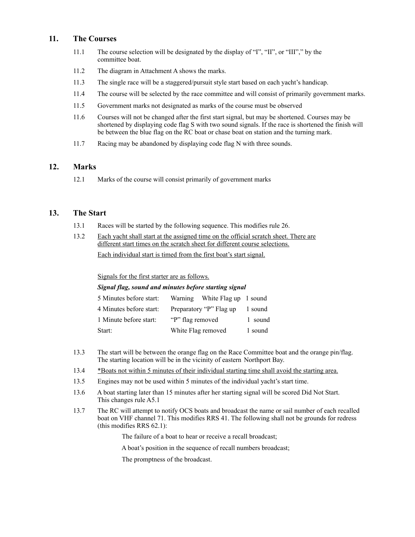# **11. The Courses**

- 11.1 The course selection will be designated by the display of "I", "II", or "III"," by the committee boat.
- 11.2 The diagram in Attachment A shows the marks.
- 11.3 The single race will be a staggered/pursuit style start based on each yacht's handicap.
- 11.4 The course will be selected by the race committee and will consist of primarily government marks.
- 11.5 Government marks not designated as marks of the course must be observed
- 11.6 Courses will not be changed after the first start signal, but may be shortened. Courses may be shortened by displaying code flag S with two sound signals. If the race is shortened the finish will be between the blue flag on the RC boat or chase boat on station and the turning mark.
- 11.7 Racing may be abandoned by displaying code flag N with three sounds.

#### **12. Marks**

12.1 Marks of the course will consist primarily of government marks

#### **13. The Start**

- 13.1 Races will be started by the following sequence. This modifies rule 26.
- 13.2 Each yacht shall start at the assigned time on the official scratch sheet. There are different start times on the scratch sheet for different course selections. Each individual start is timed from the first boat's start signal.

Signals for the first starter are as follows.

#### *Signal flag, sound and minutes before starting signal*

| 5 Minutes before start: | Warning White Flag up 1 sound |         |
|-------------------------|-------------------------------|---------|
| 4 Minutes before start: | Preparatory "P" Flag up       | 1 sound |
| 1 Minute before start:  | "P" flag removed              | 1 sound |
| Start:                  | White Flag removed            | 1 sound |

- 13.3 The start will be between the orange flag on the Race Committee boat and the orange pin/flag. The starting location will be in the vicinity of eastern Northport Bay.
- 13.4 \*Boats not within 5 minutes of their individual starting time shall avoid the starting area.
- 13.5 Engines may not be used within 5 minutes of the individual yacht's start time.
- 13.6 A boat starting later than 15 minutes after her starting signal will be scored Did Not Start. This changes rule A5.1
- 13.7 The RC will attempt to notify OCS boats and broadcast the name or sail number of each recalled boat on VHF channel 71. This modifies RRS 41. The following shall not be grounds for redress (this modifies RRS 62.1):

The failure of a boat to hear or receive a recall broadcast;

A boat's position in the sequence of recall numbers broadcast;

The promptness of the broadcast.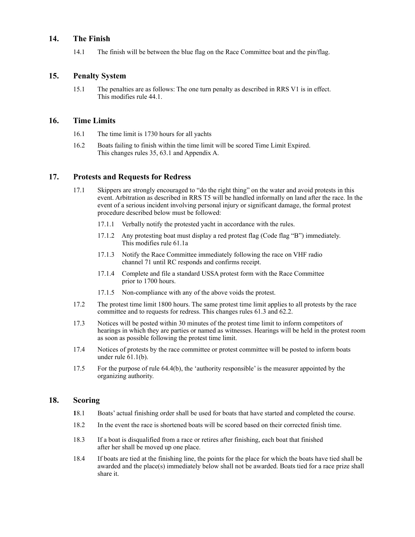# **14. The Finish**

14.1 The finish will be between the blue flag on the Race Committee boat and the pin/flag.

#### **15.** Penalty System

15.1 The penalties are as follows: The one turn penalty as described in RRS V1 is in effect. This modifies rule 44.1.

#### **16. Time Limits**

- 16.1 The time limit is 1730 hours for all yachts
- 16.2 Boats failing to finish within the time limit will be scored Time Limit Expired. This changes rules 35, 63.1 and Appendix A.

#### **17. Protests and Requests for Redress**

- 17.1 Skippers are strongly encouraged to "do the right thing" on the water and avoid protests in this event. Arbitration as described in RRS T5 will be handled informally on land after the race. In the event of a serious incident involving personal injury or significant damage, the formal protest procedure described below must be followed:
	- 17.1.1 Verbally notify the protested yacht in accordance with the rules.
	- 17.1.2 Any protesting boat must display a red protest flag (Code flag "B") immediately. This modifies rule 61.1a
	- 17.1.3 Notify the Race Committee immediately following the race on VHF radio channel 71 until RC responds and confirms receipt.
	- 17.1.4 Complete and file a standard USSA protest form with the Race Committee prior to 1700 hours.
	- 17.1.5 Non-compliance with any of the above voids the protest.
- 17.2 The protest time limit 1800 hours. The same protest time limit applies to all protests by the race committee and to requests for redress. This changes rules 61.3 and 62.2.
- 17.3 Notices will be posted within 30 minutes of the protest time limit to inform competitors of hearings in which they are parties or named as witnesses. Hearings will be held in the protest room as soon as possible following the protest time limit.
- 17.4 Notices of protests by the race committee or protest committee will be posted to inform boats under rule 61.1(b).
- 17.5 For the purpose of rule 64.4(b), the 'authority responsible' is the measurer appointed by the organizing authority.

#### **18. Scoring**

- **1**8.1 Boats' actual finishing order shall be used for boats that have started and completed the course.
- 18.2 In the event the race is shortened boats will be scored based on their corrected finish time.
- 18.3 If a boat is disqualified from a race or retires after finishing, each boat that finished after her shall be moved up one place.
- 18.4 If boats are tied at the finishing line, the points for the place for which the boats have tied shall be awarded and the place(s) immediately below shall not be awarded. Boats tied for a race prize shall share it.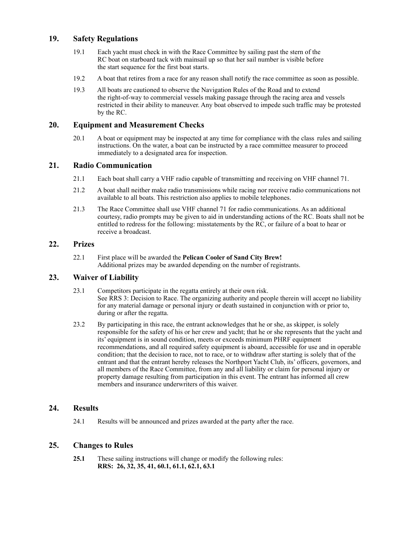# **19. Safety Regulations**

- 19.1 Each yacht must check in with the Race Committee by sailing past the stern of the RC boat on starboard tack with mainsail up so that her sail number is visible before the start sequence for the first boat starts.
- 19.2 A boat that retires from a race for any reason shall notify the race committee as soon as possible.
- 19.3 All boats are cautioned to observe the Navigation Rules of the Road and to extend the right-of-way to commercial vessels making passage through the racing area and vessels restricted in their ability to maneuver. Any boat observed to impede such traffic may be protested by the RC.

#### **20. Equipment and Measurement Checks**

20.1 A boat or equipment may be inspected at any time for compliance with the class rules and sailing instructions. On the water, a boat can be instructed by a race committee measurer to proceed immediately to a designated area for inspection.

#### **21. Radio Communication**

- 21.1 Each boat shall carry a VHF radio capable of transmitting and receiving on VHF channel 71.
- 21.2 A boat shall neither make radio transmissions while racing nor receive radio communications not available to all boats. This restriction also applies to mobile telephones.
- 21.3 The Race Committee shall use VHF channel 71 for radio communications. As an additional courtesy, radio prompts may be given to aid in understanding actions of the RC. Boats shall not be entitled to redress for the following: misstatements by the RC, or failure of a boat to hear or receive a broadcast.

#### **22. Prizes**

22.1 First place will be awarded the **Pelican Cooler of Sand City Brew!** Additional prizes may be awarded depending on the number of registrants.

#### **23. Waiver of Liability**

- 23.1 Competitors participate in the regatta entirely at their own risk. See RRS 3: Decision to Race. The organizing authority and people therein will accept no liability for any material damage or personal injury or death sustained in conjunction with or prior to, during or after the regatta.
- 23.2 By participating in this race, the entrant acknowledges that he or she, as skipper, is solely responsible for the safety of his or her crew and yacht; that he or she represents that the yacht and its' equipment is in sound condition, meets or exceeds minimum PHRF equipment recommendations, and all required safety equipment is aboard, accessible for use and in operable condition; that the decision to race, not to race, or to withdraw after starting is solely that of the entrant and that the entrant hereby releases the Northport Yacht Club, its' officers, governors, and all members of the Race Committee, from any and all liability or claim for personal injury or property damage resulting from participation in this event. The entrant has informed all crew members and insurance underwriters of this waiver.

#### **24. Results**

24.1 Results will be announced and prizes awarded at the party after the race.

#### **25. Changes to Rules**

**25.1** These sailing instructions will change or modify the following rules: **RRS: 26, 32, 35, 41, 60.1, 61.1, 62.1, 63.1**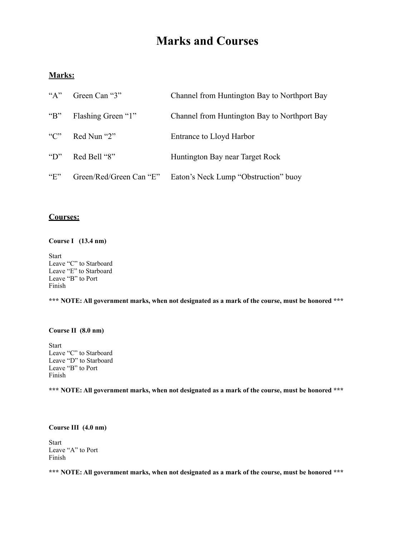# **Marks and Courses**

# **Marks:**

| $A^{\prime\prime}$ | Green Can "3"           | Channel from Huntington Bay to Northport Bay |
|--------------------|-------------------------|----------------------------------------------|
| " $B$ "            | Flashing Green "1"      | Channel from Huntington Bay to Northport Bay |
| $C$ <sup>*</sup>   | Red Nun "2"             | Entrance to Lloyd Harbor                     |
| "D"                | Red Bell "8"            | Huntington Bay near Target Rock              |
| $E^{\prime\prime}$ | Green/Red/Green Can "E" | Eaton's Neck Lump "Obstruction" buoy         |

# **Courses:**

#### **Course I (13.4 nm)**

Start Leave "C" to Starboard Leave "E" to Starboard Leave "B" to Port Finish

**\*\*\* NOTE: All government marks, when not designated as a mark of the course, must be honored \*\*\***

#### **Course II (8.0 nm)**

Start Leave "C" to Starboard Leave "D" to Starboard Leave "B" to Port Finish

**\*\*\* NOTE: All government marks, when not designated as a mark of the course, must be honored \*\*\***

#### **Course III (4.0 nm)**

Start Leave "A" to Port Finish

**\*\*\* NOTE: All government marks, when not designated as a mark of the course, must be honored \*\*\***